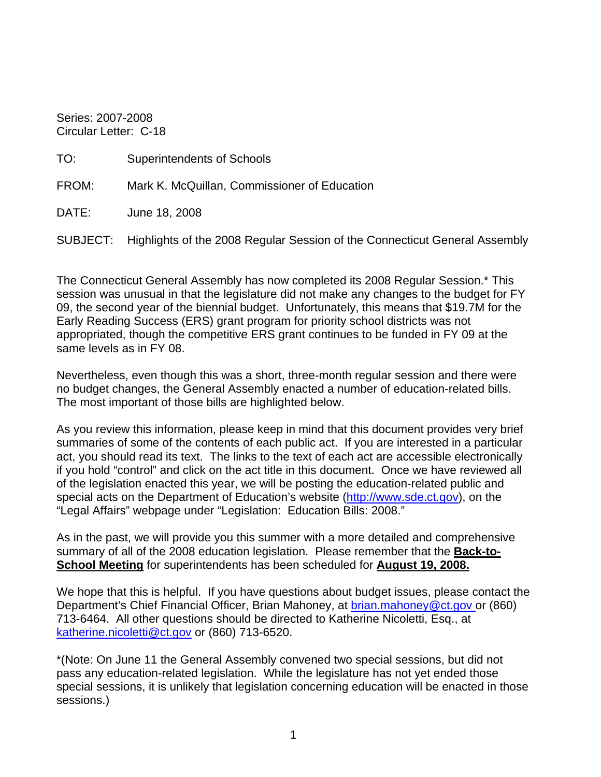Series: 2007-2008 Circular Letter: C-18

| <b>Superintendents of Schools</b>                                                   |
|-------------------------------------------------------------------------------------|
| Mark K. McQuillan, Commissioner of Education                                        |
| June 18, 2008                                                                       |
| SUBJECT: Highlights of the 2008 Regular Session of the Connecticut General Assembly |
|                                                                                     |

The Connecticut General Assembly has now completed its 2008 Regular Session.\* This session was unusual in that the legislature did not make any changes to the budget for FY 09, the second year of the biennial budget. Unfortunately, this means that \$19.7M for the Early Reading Success (ERS) grant program for priority school districts was not appropriated, though the competitive ERS grant continues to be funded in FY 09 at the same levels as in FY 08.

Nevertheless, even though this was a short, three-month regular session and there were no budget changes, the General Assembly enacted a number of education-related bills. The most important of those bills are highlighted below.

As you review this information, please keep in mind that this document provides very brief summaries of some of the contents of each public act. If you are interested in a particular act, you should read its text. The links to the text of each act are accessible electronically if you hold "control" and click on the act title in this document. Once we have reviewed all of the legislation enacted this year, we will be posting the education-related public and special acts on the Department of Education's website [\(http://www.sde.ct.gov](http://www.sde.ct.gov/)), on the "Legal Affairs" webpage under "Legislation: Education Bills: 2008."

As in the past, we will provide you this summer with a more detailed and comprehensive summary of all of the 2008 education legislation. Please remember that the **Back-to-School Meeting** for superintendents has been scheduled for **August 19, 2008.**

We hope that this is helpful. If you have questions about budget issues, please contact the Department's Chief Financial Officer, Brian Mahoney, at brian.mahoney@ct.gov or (860) 713-6464. All other questions should be directed to Katherine Nicoletti, Esq., at [katherine.nicoletti@ct.gov](mailto:katherine.nicoletti@ct.gov) or (860) 713-6520.

\*(Note: On June 11 the General Assembly convened two special sessions, but did not pass any education-related legislation. While the legislature has not yet ended those special sessions, it is unlikely that legislation concerning education will be enacted in those sessions.)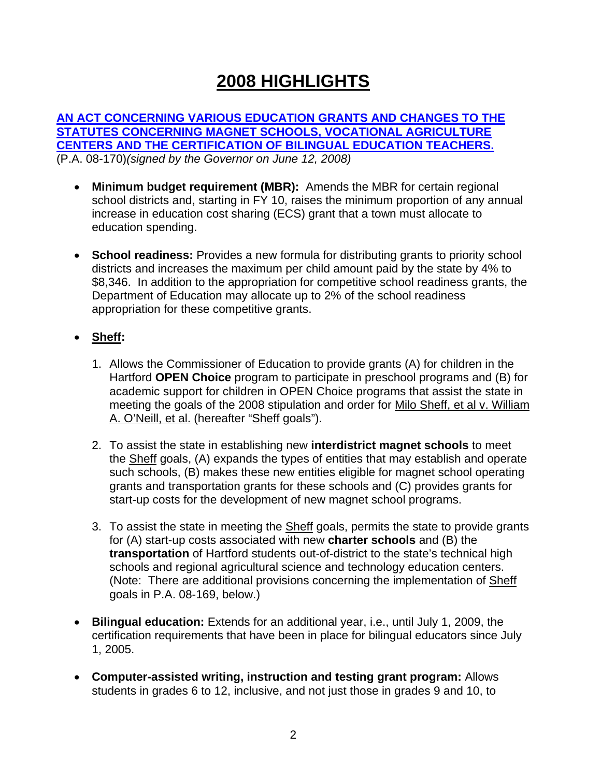# **2008 HIGHLIGHTS**

**[AN ACT CONCERNING VARIOUS EDUCATION GRANTS AND CHANGES TO THE](http://www.cga.ct.gov/2008/ACT/PA/2008PA-00170-R00SB-00404-PA.htm)  [STATUTES CONCERNING MAGNET SCHOOLS, VOCATIONAL AGRICULTURE](http://www.cga.ct.gov/2008/ACT/PA/2008PA-00170-R00SB-00404-PA.htm)  [CENTERS AND THE CERTIFICATION OF BILINGUAL EDUCATION TEACHERS.](http://www.cga.ct.gov/2008/ACT/PA/2008PA-00170-R00SB-00404-PA.htm)**  (P.A. 08-170)*(signed by the Governor on June 12, 2008)* 

- **Minimum budget requirement (MBR):** Amends the MBR for certain regional school districts and, starting in FY 10, raises the minimum proportion of any annual increase in education cost sharing (ECS) grant that a town must allocate to education spending.
- **School readiness:** Provides a new formula for distributing grants to priority school districts and increases the maximum per child amount paid by the state by 4% to \$8,346. In addition to the appropriation for competitive school readiness grants, the Department of Education may allocate up to 2% of the school readiness appropriation for these competitive grants.
- **Sheff:**
	- 1. Allows the Commissioner of Education to provide grants (A) for children in the Hartford **OPEN Choice** program to participate in preschool programs and (B) for academic support for children in OPEN Choice programs that assist the state in meeting the goals of the 2008 stipulation and order for Milo Sheff, et al v. William A. O'Neill, et al. (hereafter "Sheff goals").
	- 2. To assist the state in establishing new **interdistrict magnet schools** to meet the Sheff goals, (A) expands the types of entities that may establish and operate such schools, (B) makes these new entities eligible for magnet school operating grants and transportation grants for these schools and (C) provides grants for start-up costs for the development of new magnet school programs.
	- 3. To assist the state in meeting the **Sheff** goals, permits the state to provide grants for (A) start-up costs associated with new **charter schools** and (B) the **transportation** of Hartford students out-of-district to the state's technical high schools and regional agricultural science and technology education centers. (Note: There are additional provisions concerning the implementation of Sheff goals in P.A. 08-169, below.)
- **Bilingual education:** Extends for an additional year, i.e., until July 1, 2009, the certification requirements that have been in place for bilingual educators since July 1, 2005.
- **Computer-assisted writing, instruction and testing grant program:** Allows students in grades 6 to 12, inclusive, and not just those in grades 9 and 10, to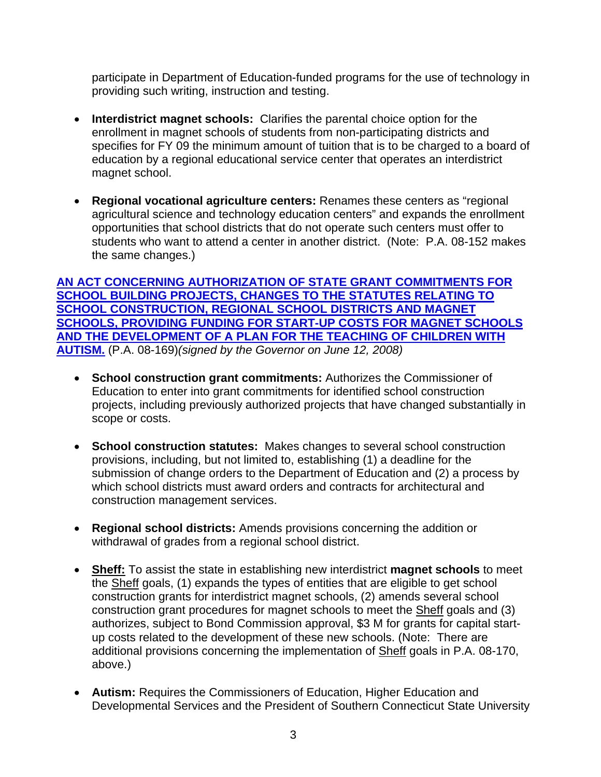participate in Department of Education-funded programs for the use of technology in providing such writing, instruction and testing.

- **Interdistrict magnet schools:** Clarifies the parental choice option for the enrollment in magnet schools of students from non-participating districts and specifies for FY 09 the minimum amount of tuition that is to be charged to a board of education by a regional educational service center that operates an interdistrict magnet school.
- **Regional vocational agriculture centers:** Renames these centers as "regional agricultural science and technology education centers" and expands the enrollment opportunities that school districts that do not operate such centers must offer to students who want to attend a center in another district. (Note: P.A. 08-152 makes the same changes.)

**[AN ACT CONCERNING AUTHORIZATION OF STATE GRANT COMMITMENTS FOR](http://www.cga.ct.gov/2008/ACT/PA/2008PA-00169-R00SB-00402-PA.htm)  [SCHOOL BUILDING PROJECTS, CHANGES TO THE STATUTES RELATING TO](http://www.cga.ct.gov/2008/ACT/PA/2008PA-00169-R00SB-00402-PA.htm)  [SCHOOL CONSTRUCTION, REGIONAL SCHOOL DISTRICTS AND MAGNET](http://www.cga.ct.gov/2008/ACT/PA/2008PA-00169-R00SB-00402-PA.htm)  [SCHOOLS, PROVIDING FUNDING FOR START-UP COSTS FOR MAGNET SCHOOLS](http://www.cga.ct.gov/2008/ACT/PA/2008PA-00169-R00SB-00402-PA.htm)  [AND THE DEVE](http://www.cga.ct.gov/2008/ACT/PA/2008PA-00169-R00SB-00402-PA.htm)LOPMENT OF A PLAN FOR THE TEACHING OF CHILDREN WITH AUTISM.** (P.A. 08-169)*(signed by the Governor on June 12, 2008)* 

- **School construction grant commitments:** Authorizes the Commissioner of Education to enter into grant commitments for identified school construction projects, including previously authorized projects that have changed substantially in scope or costs.
- **School construction statutes:** Makes changes to several school construction provisions, including, but not limited to, establishing (1) a deadline for the submission of change orders to the Department of Education and (2) a process by which school districts must award orders and contracts for architectural and construction management services.
- **Regional school districts:** Amends provisions concerning the addition or withdrawal of grades from a regional school district.
- **Sheff:** To assist the state in establishing new interdistrict **magnet schools** to meet the Sheff goals, (1) expands the types of entities that are eligible to get school construction grants for interdistrict magnet schools, (2) amends several school construction grant procedures for magnet schools to meet the Sheff goals and (3) authorizes, subject to Bond Commission approval, \$3 M for grants for capital startup costs related to the development of these new schools. (Note: There are additional provisions concerning the implementation of Sheff goals in P.A. 08-170, above.)
- **Autism:** Requires the Commissioners of Education, Higher Education and Developmental Services and the President of Southern Connecticut State University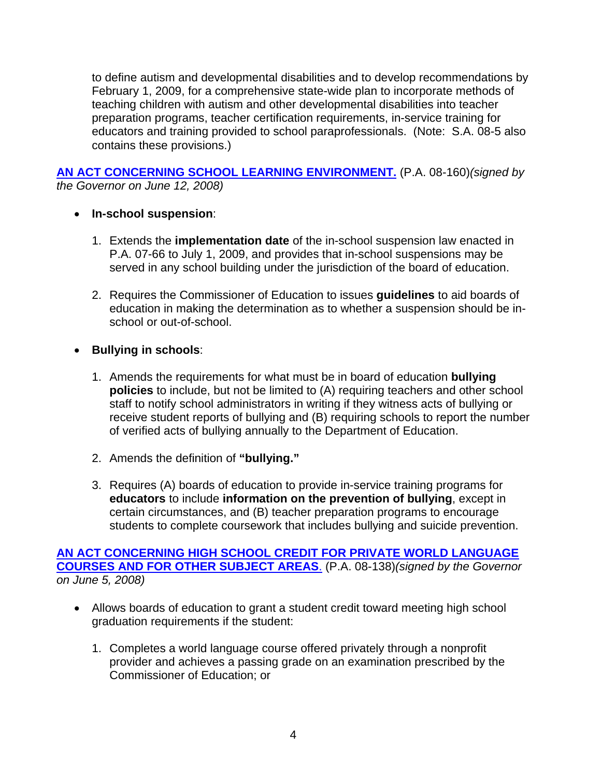to define autism and developmental disabilities and to develop recommendations by February 1, 2009, for a comprehensive state-wide plan to incorporate methods of teaching children with autism and other developmental disabilities into teacher preparation programs, teacher certification requirements, in-service training for educators and training provided to school paraprofessionals. (Note: S.A. 08-5 also contains these provisions.)

## **[AN ACT CONCERNING SCHOOL LEARNING ENVIRONMENT.](http://www.cga.ct.gov/2008/ACT/PA/2008PA-00160-R00HB-05826-PA.htm)** (P.A. 08-160)*(signed by the Governor on June 12, 2008)*

# • **In-school suspension**:

- 1. Extends the **implementation date** of the in-school suspension law enacted in P.A. 07-66 to July 1, 2009, and provides that in-school suspensions may be served in any school building under the jurisdiction of the board of education.
- 2. Requires the Commissioner of Education to issues **guidelines** to aid boards of education in making the determination as to whether a suspension should be inschool or out-of-school.
- **Bullying in schools**:
	- 1. Amends the requirements for what must be in board of education **bullying policies** to include, but not be limited to (A) requiring teachers and other school staff to notify school administrators in writing if they witness acts of bullying or receive student reports of bullying and (B) requiring schools to report the number of verified acts of bullying annually to the Department of Education.
	- 2. Amends the definition of **"bullying."**
	- 3. Requires (A) boards of education to provide in-service training programs for **educators** to include **information on the prevention of bullying**, except in certain circumstances, and (B) teacher preparation programs to encourage students to complete coursework that includes bullying and suicide prevention.

#### **[AN ACT CONCERNING HIGH SCHOOL CREDIT FOR PRIVATE WORLD LANGUAGE](http://www.cga.ct.gov/2008/ACT/PA/2008PA-00138-R00HB-05820-PA.htm)  [COURSES AND FOR OTHER SUBJECT AREAS](http://www.cga.ct.gov/2008/ACT/PA/2008PA-00138-R00HB-05820-PA.htm)**. (P.A. 08-138)*(signed by the Governor on June 5, 2008)*

- Allows boards of education to grant a student credit toward meeting high school graduation requirements if the student:
	- 1. Completes a world language course offered privately through a nonprofit provider and achieves a passing grade on an examination prescribed by the Commissioner of Education; or